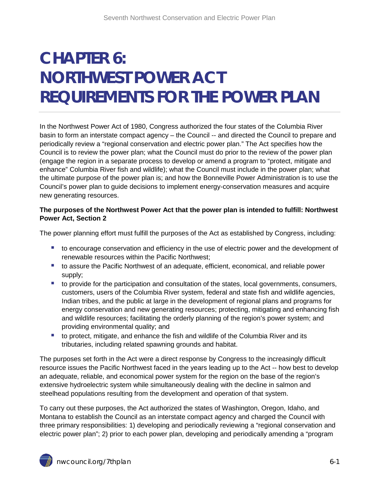# **CHAPTER 6: NORTHWEST POWER ACT REQUIREMENTS FOR THE POWER PLAN**

In the Northwest Power Act of 1980, Congress authorized the four states of the Columbia River basin to form an interstate compact agency – the Council -- and directed the Council to prepare and periodically review a "regional conservation and electric power plan." The Act specifies how the Council is to review the power plan; what the Council must do prior to the review of the power plan (engage the region in a separate process to develop or amend a program to "protect, mitigate and enhance" Columbia River fish and wildlife); what the Council must include in the power plan; what the ultimate purpose of the power plan is; and how the Bonneville Power Administration is to use the Council's power plan to guide decisions to implement energy-conservation measures and acquire new generating resources.

## **The purposes of the Northwest Power Act that the power plan is intended to fulfill: Northwest Power Act, Section 2**

The power planning effort must fulfill the purposes of the Act as established by Congress, including:

- **tio encourage conservation and efficiency in the use of electric power and the development of** renewable resources within the Pacific Northwest;
- to assure the Pacific Northwest of an adequate, efficient, economical, and reliable power supply;
- to provide for the participation and consultation of the states, local governments, consumers, customers, users of the Columbia River system, federal and state fish and wildlife agencies, Indian tribes, and the public at large in the development of regional plans and programs for energy conservation and new generating resources; protecting, mitigating and enhancing fish and wildlife resources; facilitating the orderly planning of the region's power system; and providing environmental quality; and
- to protect, mitigate, and enhance the fish and wildlife of the Columbia River and its tributaries, including related spawning grounds and habitat.

The purposes set forth in the Act were a direct response by Congress to the increasingly difficult resource issues the Pacific Northwest faced in the years leading up to the Act -- how best to develop an adequate, reliable, and economical power system for the region on the base of the region's extensive hydroelectric system while simultaneously dealing with the decline in salmon and steelhead populations resulting from the development and operation of that system.

<span id="page-0-0"></span>To carry out these purposes, the Act authorized the states of Washington, Oregon, Idaho, and Montana to establish the Council as an interstate compact agency and charged the Council with three primary responsibilities: 1) developing and periodically reviewing a "regional conservation and electric power plan"; 2) prior to each power plan, developing and periodically amending a "program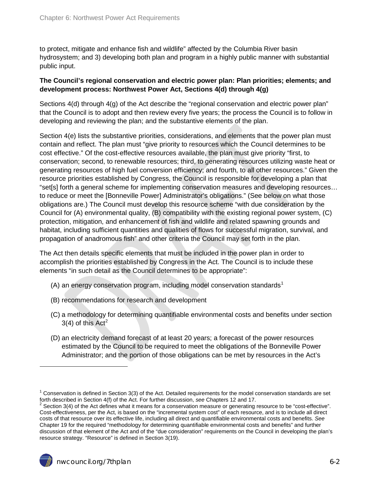to protect, mitigate and enhance fish and wildlife" affected by the Columbia River basin hydrosystem; and 3) developing both plan and program in a highly public manner with substantial public input.

### **The Council's regional conservation and electric power plan: Plan priorities; elements; and development process: Northwest Power Act, Sections 4(d) through 4(g)**

Sections 4(d) through 4(g) of the Act describe the "regional conservation and electric power plan" that the Council is to adopt and then review every five years; the process the Council is to follow in developing and reviewing the plan; and the substantive elements of the plan.

Section 4(e) lists the substantive priorities, considerations, and elements that the power plan must contain and reflect. The plan must "give priority to resources which the Council determines to be cost effective." Of the cost-effective resources available, the plan must give priority "first, to conservation; second, to renewable resources; third, to generating resources utilizing waste heat or generating resources of high fuel conversion efficiency; and fourth, to all other resources." Given the resource priorities established by Congress, the Council is responsible for developing a plan that "set[s] forth a general scheme for implementing conservation measures and developing resources… to reduce or meet the [Bonneville Power] Administrator's obligations." (See below on what those obligations are.) The Council must develop this resource scheme "with due consideration by the Council for (A) environmental quality, (B) compatibility with the existing regional power system, (C) protection, mitigation, and enhancement of fish and wildlife and related spawning grounds and habitat, including sufficient quantities and qualities of flows for successful migration, survival, and propagation of anadromous fish" and other criteria the Council may set forth in the plan.

The Act then details specific elements that must be included in the power plan in order to accomplish the priorities established by Congress in the Act. The Council is to include these elements "in such detail as the Council determines to be appropriate":

- (A) an energy conservation program, including model conservation standards<sup>[1](#page-0-0)</sup>
- (B) recommendations for research and development
- (C) a methodology for determining quantifiable environmental costs and benefits under section 3(4) of this  $Act<sup>2</sup>$  $Act<sup>2</sup>$  $Act<sup>2</sup>$
- (D) an electricity demand forecast of at least 20 years; a forecast of the power resources estimated by the Council to be required to meet the obligations of the Bonneville Power Administrator; and the portion of those obligations can be met by resources in the Act's

 $\overline{a}$ 

<sup>&</sup>lt;sup>1</sup> Conservation is defined in Section 3(3) of the Act. Detailed requirements for the model conservation standards are set<br>forth described in Section 4(f) of the Act. For further discussion, see Chapters 12 and 17.

<span id="page-1-0"></span><sup>&</sup>lt;sup>2</sup> Section 3(4) of the Act defines what it means for a conservation measure or generating resource to be "cost-effective". Cost-effectiveness, per the Act, is based on the "incremental system cost" of each resource, and is to include all direct costs of that resource over its effective life, including all direct and quantifiable environmental costs and benefits. *See* Chapter 19 for the required "methodology for determining quantifiable environmental costs and benefits" and further discussion of that element of the Act and of the "due consideration" requirements on the Council in developing the plan's resource strategy. "Resource" is defined in Section 3(19).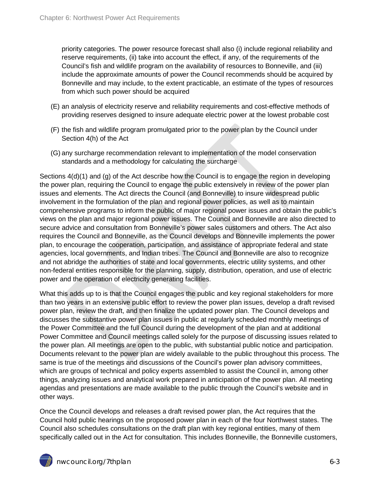priority categories. The power resource forecast shall also (i) include regional reliability and reserve requirements, (ii) take into account the effect, if any, of the requirements of the Council's fish and wildlife program on the availability of resources to Bonneville, and (iii) include the approximate amounts of power the Council recommends should be acquired by Bonneville and may include, to the extent practicable, an estimate of the types of resources from which such power should be acquired

- (E) an analysis of electricity reserve and reliability requirements and cost-effective methods of providing reserves designed to insure adequate electric power at the lowest probable cost
- (F) the fish and wildlife program promulgated prior to the power plan by the Council under Section 4(h) of the Act
- (G) any surcharge recommendation relevant to implementation of the model conservation standards and a methodology for calculating the surcharge

Sections 4(d)(1) and (g) of the Act describe how the Council is to engage the region in developing the power plan, requiring the Council to engage the public extensively in review of the power plan issues and elements. The Act directs the Council (and Bonneville) to insure widespread public involvement in the formulation of the plan and regional power policies, as well as to maintain comprehensive programs to inform the public of major regional power issues and obtain the public's views on the plan and major regional power issues. The Council and Bonneville are also directed to secure advice and consultation from Bonneville's power sales customers and others. The Act also requires the Council and Bonneville, as the Council develops and Bonneville implements the power plan, to encourage the cooperation, participation, and assistance of appropriate federal and state agencies, local governments, and Indian tribes. The Council and Bonneville are also to recognize and not abridge the authorities of state and local governments, electric utility systems, and other non-federal entities responsible for the planning, supply, distribution, operation, and use of electric power and the operation of electricity generating facilities.

What this adds up to is that the Council engages the public and key regional stakeholders for more than two years in an extensive public effort to review the power plan issues, develop a draft revised power plan, review the draft, and then finalize the updated power plan. The Council develops and discusses the substantive power plan issues in public at regularly scheduled monthly meetings of the Power Committee and the full Council during the development of the plan and at additional Power Committee and Council meetings called solely for the purpose of discussing issues related to the power plan. All meetings are open to the public, with substantial public notice and participation. Documents relevant to the power plan are widely available to the public throughout this process. The same is true of the meetings and discussions of the Council's power plan advisory committees, which are groups of technical and policy experts assembled to assist the Council in, among other things, analyzing issues and analytical work prepared in anticipation of the power plan. All meeting agendas and presentations are made available to the public through the Council's website and in other ways.

Once the Council develops and releases a draft revised power plan, the Act requires that the Council hold public hearings on the proposed power plan in each of the four Northwest states. The Council also schedules consultations on the draft plan with key regional entities, many of them specifically called out in the Act for consultation. This includes Bonneville, the Bonneville customers,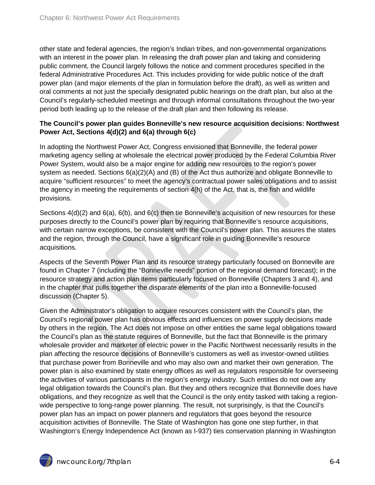other state and federal agencies, the region's Indian tribes, and non-governmental organizations with an interest in the power plan. In releasing the draft power plan and taking and considering public comment, the Council largely follows the notice and comment procedures specified in the federal Administrative Procedures Act. This includes providing for wide public notice of the draft power plan (and major elements of the plan in formulation before the draft), as well as written and oral comments at not just the specially designated public hearings on the draft plan, but also at the Council's regularly-scheduled meetings and through informal consultations throughout the two-year period both leading up to the release of the draft plan and then following its release.

#### **The Council's power plan guides Bonneville's new resource acquisition decisions: Northwest Power Act, Sections 4(d)(2) and 6(a) through 6(c)**

In adopting the Northwest Power Act, Congress envisioned that Bonneville, the federal power marketing agency selling at wholesale the electrical power produced by the Federal Columbia River Power System, would also be a major engine for adding new resources to the region's power system as needed. Sections 6(a)(2)(A) and (B) of the Act thus authorize and obligate Bonneville to acquire "sufficient resources" to meet the agency's contractual power sales obligations and to assist the agency in meeting the requirements of section 4(h) of the Act, that is, the fish and wildlife provisions.

Sections 4(d)(2) and 6(a), 6(b), and 6(c) then tie Bonneville's acquisition of new resources for these purposes directly to the Council's power plan by requiring that Bonneville's resource acquisitions, with certain narrow exceptions, be consistent with the Council's power plan. This assures the states and the region, through the Council, have a significant role in guiding Bonneville's resource acquisitions.

Aspects of the Seventh Power Plan and its resource strategy particularly focused on Bonneville are found in Chapter 7 (including the "Bonneville needs" portion of the regional demand forecast); in the resource strategy and action plan items particularly focused on Bonneville (Chapters 3 and 4), and in the chapter that pulls together the disparate elements of the plan into a Bonneville-focused discussion (Chapter 5).

Given the Administrator's obligation to acquire resources consistent with the Council's plan, the Council's regional power plan has obvious effects and influences on power supply decisions made by others in the region. The Act does not impose on other entities the same legal obligations toward the Council's plan as the statute requires of Bonneville, but the fact that Bonneville is the primary wholesale provider and marketer of electric power in the Pacific Northwest necessarily results in the plan affecting the resource decisions of Bonneville's customers as well as investor-owned utilities that purchase power from Bonneville and who may also own and market their own generation. The power plan is also examined by state energy offices as well as regulators responsible for overseeing the activities of various participants in the region's energy industry. Such entities do not owe any legal obligation towards the Council's plan. But they and others recognize that Bonneville does have obligations, and they recognize as well that the Council is the only entity tasked with taking a regionwide perspective to long-range power planning. The result, not surprisingly, is that the Council's power plan has an impact on power planners and regulators that goes beyond the resource acquisition activities of Bonneville. The State of Washington has gone one step further, in that Washington's Energy Independence Act (known as I-937) ties conservation planning in Washington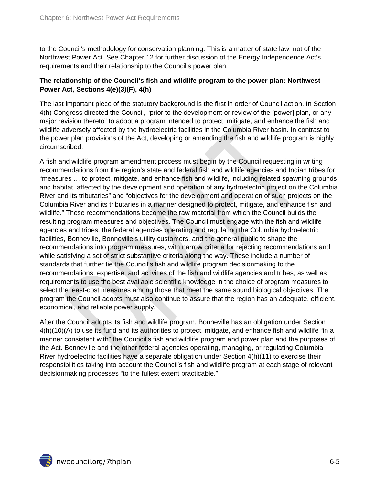to the Council's methodology for conservation planning. This is a matter of state law, not of the Northwest Power Act. See Chapter 12 for further discussion of the Energy Independence Act's requirements and their relationship to the Council's power plan.

## **The relationship of the Council's fish and wildlife program to the power plan: Northwest Power Act, Sections 4(e)(3)(F), 4(h)**

The last important piece of the statutory background is the first in order of Council action. In Section 4(h) Congress directed the Council, "prior to the development or review of the [power] plan, or any major revision thereto" to adopt a program intended to protect, mitigate, and enhance the fish and wildlife adversely affected by the hydroelectric facilities in the Columbia River basin. In contrast to the power plan provisions of the Act, developing or amending the fish and wildlife program is highly circumscribed.

A fish and wildlife program amendment process must begin by the Council requesting in writing recommendations from the region's state and federal fish and wildlife agencies and Indian tribes for "measures … to protect, mitigate, and enhance fish and wildlife, including related spawning grounds and habitat, affected by the development and operation of any hydroelectric project on the Columbia River and its tributaries" and "objectives for the development and operation of such projects on the Columbia River and its tributaries in a manner designed to protect, mitigate, and enhance fish and wildlife." These recommendations become the raw material from which the Council builds the resulting program measures and objectives. The Council must engage with the fish and wildlife agencies and tribes, the federal agencies operating and regulating the Columbia hydroelectric facilities, Bonneville, Bonneville's utility customers, and the general public to shape the recommendations into program measures, with narrow criteria for rejecting recommendations and while satisfying a set of strict substantive criteria along the way. These include a number of standards that further tie the Council's fish and wildlife program decisionmaking to the recommendations, expertise, and activities of the fish and wildlife agencies and tribes, as well as requirements to use the best available scientific knowledge in the choice of program measures to select the least-cost measures among those that meet the same sound biological objectives. The program the Council adopts must also continue to assure that the region has an adequate, efficient, economical, and reliable power supply.

After the Council adopts its fish and wildlife program, Bonneville has an obligation under Section 4(h)(10)(A) to use its fund and its authorities to protect, mitigate, and enhance fish and wildlife "in a manner consistent with" the Council's fish and wildlife program and power plan and the purposes of the Act. Bonneville and the other federal agencies operating, managing, or regulating Columbia River hydroelectric facilities have a separate obligation under Section 4(h)(11) to exercise their responsibilities taking into account the Council's fish and wildlife program at each stage of relevant decisionmaking processes "to the fullest extent practicable."